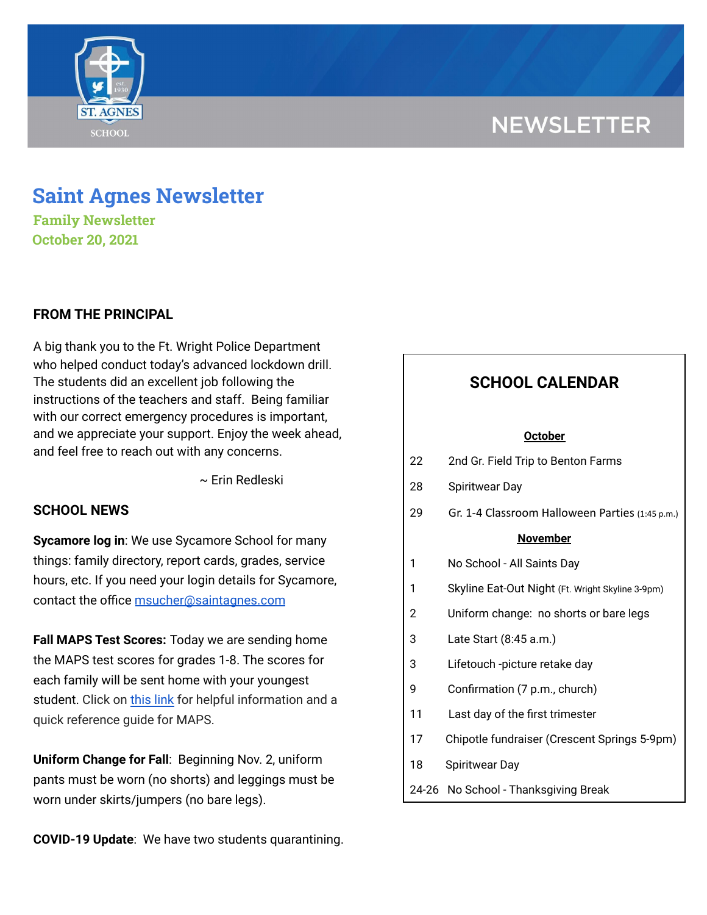# **NEWSLETTER**



## **Saint Agnes Newsletter**

**Family Newsletter October 20, 2021**

### **FROM THE PRINCIPAL**

A big thank you to the Ft. Wright Police Department who helped conduct today's advanced lockdown drill. The students did an excellent job following the instructions of the teachers and staff. Being familiar with our correct emergency procedures is important, and we appreciate your support. Enjoy the week ahead, and feel free to reach out with any concerns.

~ Erin Redleski

### **SCHOOL NEWS**

**Sycamore log in**: We use Sycamore School for many things: family directory, report cards, grades, service hours, etc. If you need your login details for Sycamore, contact the office [msucher@saintagnes.com](mailto:msucher@saintagnes.com)

**Fall MAPS Test Scores:** Today we are sending home the MAPS test scores for grades 1-8. The scores for each family will be sent home with your youngest student. Click on [this](https://school.saintagnes.com/wp-content/uploads/2021/10/MAPS_Quick_Reference.pdf) link for helpful information and a quick reference guide for MAPS.

**Uniform Change for Fall**: Beginning Nov. 2, uniform pants must be worn (no shorts) and leggings must be worn under skirts/jumpers (no bare legs).

**COVID-19 Update**: We have two students quarantining.

## **SCHOOL CALENDAR**

#### **October**

- 22 2nd Gr. Field Trip to Benton Farms
- 28 Spiritwear Day
- 29 Gr. 1-4 Classroom Halloween Parties (1:45 p.m.)

#### **November**

| <b>NOVEHIDEL</b> |                                                  |
|------------------|--------------------------------------------------|
| 1                | No School - All Saints Day                       |
| 1                | Skyline Eat-Out Night (Ft. Wright Skyline 3-9pm) |
| 2                | Uniform change: no shorts or bare legs           |
| 3                | Late Start (8:45 a.m.)                           |
| 3                | Lifetouch -picture retake day                    |
| 9                | Confirmation (7 p.m., church)                    |
| 11               | Last day of the first trimester                  |
| 17               | Chipotle fundraiser (Crescent Springs 5-9pm)     |
| 18               | <b>Spiritwear Day</b>                            |
|                  | 24-26 No School - Thanksgiving Break             |